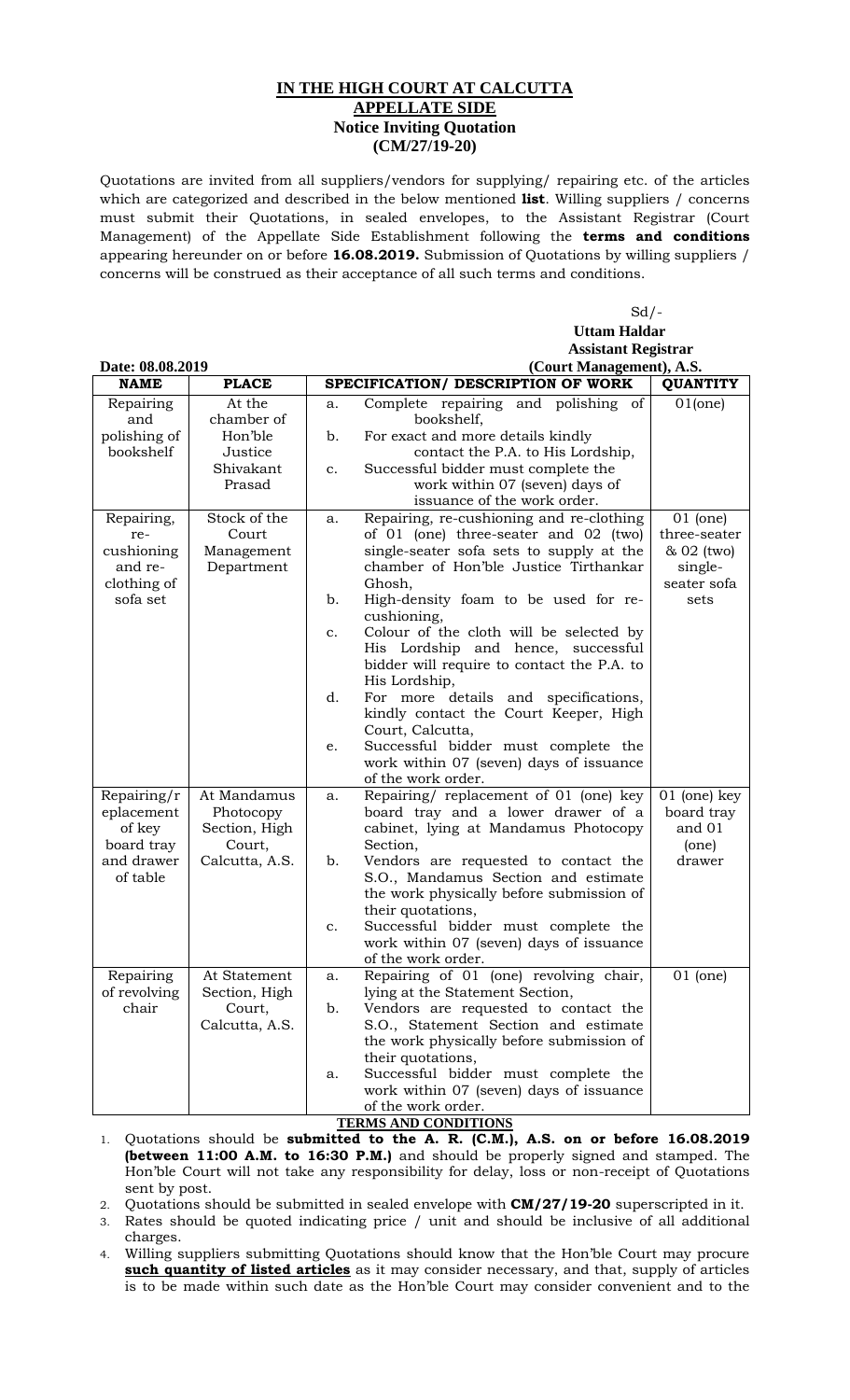## **IN THE HIGH COURT AT CALCUTTA APPELLATE SIDE Notice Inviting Quotation (CM/27/19-20)**

Quotations are invited from all suppliers/vendors for supplying/ repairing etc. of the articles which are categorized and described in the below mentioned **list**. Willing suppliers / concerns must submit their Quotations, in sealed envelopes, to the Assistant Registrar (Court Management) of the Appellate Side Establishment following the **terms and conditions** appearing hereunder on or before **16.08.2019.** Submission of Quotations by willing suppliers / concerns will be construed as their acceptance of all such terms and conditions.

 $Sd/$ -

|                           |                            |                | <b>Uttam Haldar</b>                                                               |                              |
|---------------------------|----------------------------|----------------|-----------------------------------------------------------------------------------|------------------------------|
|                           |                            |                | <b>Assistant Registrar</b>                                                        |                              |
| Date: 08.08.2019          |                            |                | (Court Management), A.S.                                                          |                              |
| <b>NAME</b>               | <b>PLACE</b>               |                | SPECIFICATION/ DESCRIPTION OF WORK                                                | <b>QUANTITY</b>              |
| Repairing<br>and          | At the<br>chamber of       | a.             | Complete repairing and polishing of<br>bookshelf,                                 | 01(one)                      |
| polishing of<br>bookshelf | Hon'ble<br>Justice         | b.             | For exact and more details kindly<br>contact the P.A. to His Lordship,            |                              |
|                           | Shivakant                  | $\mathbf{c}$ . | Successful bidder must complete the                                               |                              |
|                           | Prasad                     |                | work within 07 (seven) days of<br>issuance of the work order.                     |                              |
| Repairing,<br>re-         | Stock of the<br>Court      | a.             | Repairing, re-cushioning and re-clothing<br>of 01 (one) three-seater and 02 (two) | $01$ (one)<br>three-seater   |
| cushioning                | Management                 |                | single-seater sofa sets to supply at the                                          | & 02 (two)                   |
| and re-<br>clothing of    | Department                 |                | chamber of Hon'ble Justice Tirthankar<br>Ghosh,                                   | single-<br>seater sofa       |
| sofa set                  |                            | b.             | High-density foam to be used for re-                                              | sets                         |
|                           |                            | c.             | cushioning,<br>Colour of the cloth will be selected by                            |                              |
|                           |                            |                | His Lordship and hence, successful                                                |                              |
|                           |                            |                | bidder will require to contact the P.A. to                                        |                              |
|                           |                            | d.             | His Lordship,<br>For more details and specifications,                             |                              |
|                           |                            |                | kindly contact the Court Keeper, High                                             |                              |
|                           |                            | e.             | Court, Calcutta,<br>Successful bidder must complete the                           |                              |
|                           |                            |                | work within 07 (seven) days of issuance                                           |                              |
|                           |                            |                | of the work order.                                                                |                              |
| Repairing/r<br>eplacement | At Mandamus                | a.             | Repairing/ replacement of 01 (one) key<br>board tray and a lower drawer of a      | $01$ (one) key<br>board tray |
| of key                    | Photocopy<br>Section, High |                | cabinet, lying at Mandamus Photocopy                                              | and 01                       |
| board tray                | Court,                     |                | Section,                                                                          | (one)                        |
| and drawer<br>of table    | Calcutta, A.S.             | b.             | Vendors are requested to contact the<br>S.O., Mandamus Section and estimate       | drawer                       |
|                           |                            |                | the work physically before submission of                                          |                              |
|                           |                            |                | their quotations,                                                                 |                              |
|                           |                            | c.             | Successful bidder must complete the<br>work within 07 (seven) days of issuance    |                              |
|                           |                            |                | of the work order.                                                                |                              |
| Repairing                 | At Statement               | a.             | Repairing of 01 (one) revolving chair,                                            | $01$ (one)                   |
| of revolving<br>chair     | Section, High              |                | lying at the Statement Section,                                                   |                              |
|                           | Court,<br>Calcutta, A.S.   | b.             | Vendors are requested to contact the<br>S.O., Statement Section and estimate      |                              |
|                           |                            |                | the work physically before submission of                                          |                              |
|                           |                            |                | their quotations,                                                                 |                              |
|                           |                            | a.             | Successful bidder must complete the<br>work within 07 (seven) days of issuance    |                              |
|                           |                            |                | of the work order.                                                                |                              |

**TERMS AND CONDITIONS**

2. Quotations should be submitted in sealed envelope with **CM/27/19-20** superscripted in it.

3. Rates should be quoted indicating price / unit and should be inclusive of all additional charges.

4. Willing suppliers submitting Quotations should know that the Hon'ble Court may procure **such quantity of listed articles** as it may consider necessary, and that, supply of articles is to be made within such date as the Hon'ble Court may consider convenient and to the

<sup>1.</sup> Quotations should be **submitted to the A. R. (C.M.), A.S. on or before 16.08.2019 (between 11:00 A.M. to 16:30 P.M.)** and should be properly signed and stamped. The Hon'ble Court will not take any responsibility for delay, loss or non-receipt of Quotations sent by post.